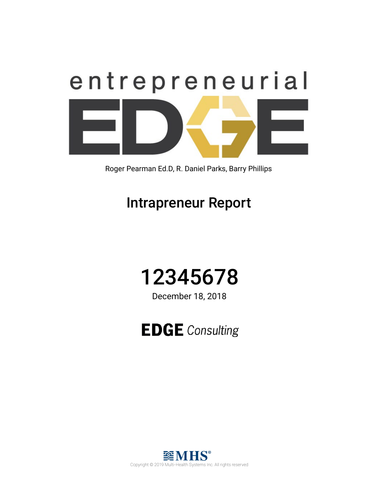

Roger Pearman Ed.D, R. Daniel Parks, Barry Phillips

## Intrapreneur Report



December 18, 2018

**EDGE** Consulting

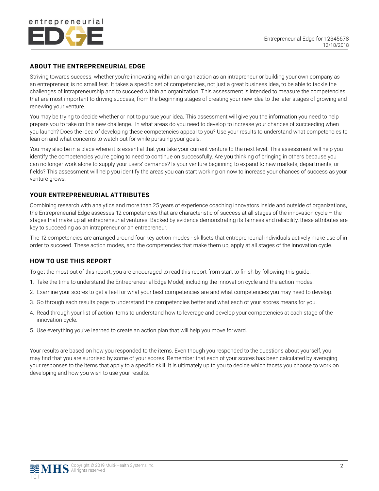

#### **ABOUT THE ENTREPRENEURIAL EDGE**

Striving towards success, whether you're innovating within an organization as an intrapreneur or building your own company as an entrepreneur, is no small feat. It takes a specific set of competencies, not just a great business idea, to be able to tackle the challenges of intrapreneurship and to succeed within an organization. This assessment is intended to measure the competencies that are most important to driving success, from the beginning stages of creating your new idea to the later stages of growing and renewing your venture.

You may be trying to decide whether or not to pursue your idea. This assessment will give you the information you need to help prepare you to take on this new challenge. In what areas do you need to develop to increase your chances of succeeding when you launch? Does the idea of developing these competencies appeal to you? Use your results to understand what competencies to lean on and what concerns to watch out for while pursuing your goals.

You may also be in a place where it is essential that you take your current venture to the next level. This assessment will help you identify the competencies you're going to need to continue on successfully. Are you thinking of bringing in others because you can no longer work alone to supply your users' demands? Is your venture beginning to expand to new markets, departments, or fields? This assessment will help you identify the areas you can start working on now to increase your chances of success as your venture grows.

#### **YOUR ENTREPRENEURIAL ATTRIBUTES**

Combining research with analytics and more than 25 years of experience coaching innovators inside and outside of organizations, the Entrepreneurial Edge assesses 12 competencies that are characteristic of success at all stages of the innovation cycle – the stages that make up all entrepreneurial ventures. Backed by evidence demonstrating its fairness and reliability, these attributes are key to succeeding as an intrapreneur or an entrepreneur.

The 12 competencies are arranged around four key action modes - skillsets that entrepreneurial individuals actively make use of in order to succeed. These action modes, and the competencies that make them up, apply at all stages of the innovation cycle.

#### **HOW TO USE THIS REPORT**

To get the most out of this report, you are encouraged to read this report from start to finish by following this guide:

- 1. Take the time to understand the Entrepreneurial Edge Model, including the innovation cycle and the action modes.
- 2. Examine your scores to get a feel for what your best competencies are and what competencies you may need to develop.
- 3. Go through each results page to understand the competencies better and what each of your scores means for you.
- 4. Read through your list of action items to understand how to leverage and develop your competencies at each stage of the innovation cycle.
- 5. Use everything you've learned to create an action plan that will help you move forward.

Your results are based on how you responded to the items. Even though you responded to the questions about yourself, you may find that you are surprised by some of your scores. Remember that each of your scores has been calculated by averaging your responses to the items that apply to a specific skill. It is ultimately up to you to decide which facets you choose to work on developing and how you wish to use your results.

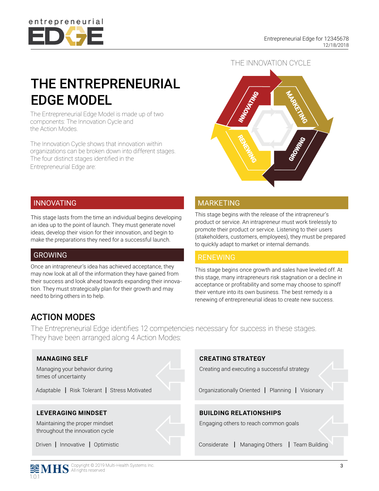

## THE ENTREPRENEURIAL EDGE MODEL

The Entrepreneurial Edge Model is made up of two components: The Innovation Cycle and the Action Modes.

The Innovation Cycle shows that innovation within organizations can be broken down into different stages. The four distinct stages identified in the Entrepreneurial Edge are:



#### INNOVATING

This stage lasts from the time an individual begins developing an idea up to the point of launch. They must generate novel ideas, develop their vision for their innovation, and begin to make the preparations they need for a successful launch.

#### GROWING

Once an intrapreneur's idea has achieved acceptance, they may now look at all of the information they have gained from their success and look ahead towards expanding their innovation. They must strategically plan for their growth and may need to bring others in to help.

#### MARKETING

This stage begins with the release of the intrapreneur's product or service. An intrapreneur must work tirelessly to promote their product or service. Listening to their users (stakeholders, customers, employees), they must be prepared to quickly adapt to market or internal demands.

#### RENEWING

This stage begins once growth and sales have leveled off. At this stage, many intrapreneurs risk stagnation or a decline in acceptance or profitability and some may choose to spinoff their venture into its own business. The best remedy is a renewing of entrepreneurial ideas to create new success.

## ACTION MODES

The Entrepreneurial Edge identifies 12 competencies necessary for success in these stages. They have been arranged along 4 Action Modes:



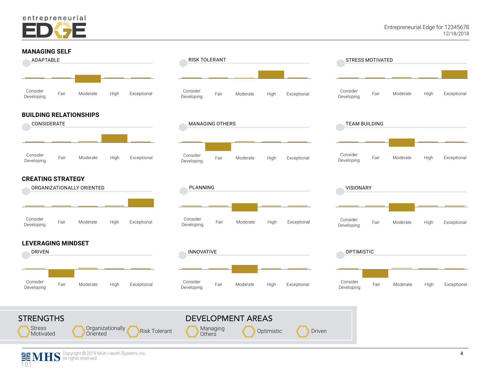

#### **MANAGING SELF**



Optimistic **Driven** 

Organizationally<br>Oriented

**Risk Tolerant** Managing

**Stress** Motivated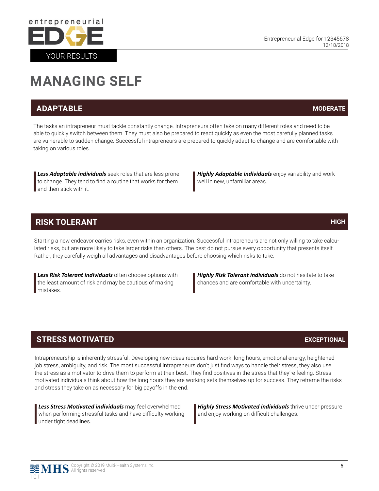

## **MANAGING SELF**

### **ADAPTABLE**

The tasks an intrapreneur must tackle constantly change. Intrapreneurs often take on many different roles and need to be able to quickly switch between them. They must also be prepared to react quickly as even the most carefully planned tasks are vulnerable to sudden change. Successful intrapreneurs are prepared to quickly adapt to change and are comfortable with taking on various roles.

*Less Adaptable individuals* seek roles that are less prone to change. They tend to find a routine that works for them and then stick with it.

*Highly Adaptable individuals* enjoy variability and work well in new, unfamiliar areas.

#### **RISK TOLERANT**

Starting a new endeavor carries risks, even within an organization. Successful intrapreneurs are not only willing to take calculated risks, but are more likely to take larger risks than others. The best do not pursue every opportunity that presents itself. Rather, they carefully weigh all advantages and disadvantages before choosing which risks to take.

*Less Risk Tolerant individuals* often choose options with the least amount of risk and may be cautious of making mistakes.

*Highly Risk Tolerant individuals* do not hesitate to take chances and are comfortable with uncertainty.

### **STRESS MOTIVATED**

Intrapreneurship is inherently stressful. Developing new ideas requires hard work, long hours, emotional energy, heightened job stress, ambiguity, and risk. The most successful intrapreneurs don't just find ways to handle their stress, they also use the stress as a motivator to drive them to perform at their best. They find positives in the stress that they're feeling. Stress motivated individuals think about how the long hours they are working sets themselves up for success. They reframe the risks and stress they take on as necessary for big payoffs in the end.

*Less Stress Motivated individuals* may feel overwhelmed when performing stressful tasks and have difficulty working under tight deadlines.

*Highly Stress Motivated individuals* thrive under pressure and enjoy working on difficult challenges.

**MODERATE**

### **HIGH**

#### **EXCEPTIONAL**

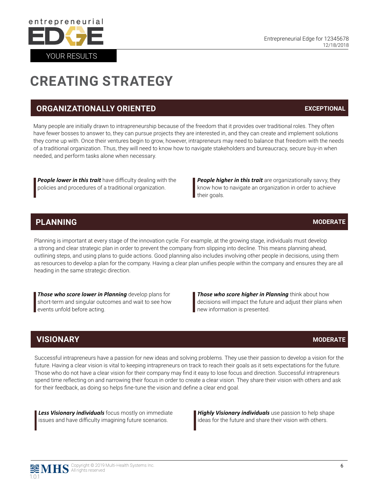## **CREATING STRATEGY**

## **ORGANIZATIONALLY ORIENTED**

Many people are initially drawn to intrapreneurship because of the freedom that it provides over traditional roles. They often have fewer bosses to answer to, they can pursue projects they are interested in, and they can create and implement solutions they come up with. Once their ventures begin to grow, however, intrapreneurs may need to balance that freedom with the needs of a traditional organization. Thus, they will need to know how to navigate stakeholders and bureaucracy, secure buy-in when needed, and perform tasks alone when necessary.

*People lower in this trait* have difficulty dealing with the policies and procedures of a traditional organization.

**People higher in this trait** are organizationally savvy, they know how to navigate an organization in order to achieve their goals.

## **PLANNING**

Planning is important at every stage of the innovation cycle. For example, at the growing stage, individuals must develop a strong and clear strategic plan in order to prevent the company from slipping into decline. This means planning ahead, outlining steps, and using plans to guide actions. Good planning also includes involving other people in decisions, using them as resources to develop a plan for the company. Having a clear plan unifies people within the company and ensures they are all heading in the same strategic direction.

*Those who score lower in Planning* develop plans for short-term and singular outcomes and wait to see how events unfold before acting.

*Those who score higher in Planning* think about how decisions will impact the future and adjust their plans when new information is presented.

## **VISIONARY**

Successful intrapreneurs have a passion for new ideas and solving problems. They use their passion to develop a vision for the future. Having a clear vision is vital to keeping intrapreneurs on track to reach their goals as it sets expectations for the future. Those who do not have a clear vision for their company may find it easy to lose focus and direction. Successful intrapreneurs spend time reflecting on and narrowing their focus in order to create a clear vision. They share their vision with others and ask for their feedback, as doing so helps fine-tune the vision and define a clear end goal.

*Less Visionary individuals* focus mostly on immediate issues and have difficulty imagining future scenarios.

*Highly Visionary individuals* use passion to help shape ideas for the future and share their vision with others.

#### **MODERATE**

**EXCEPTIONAL**



#### **MODERATE**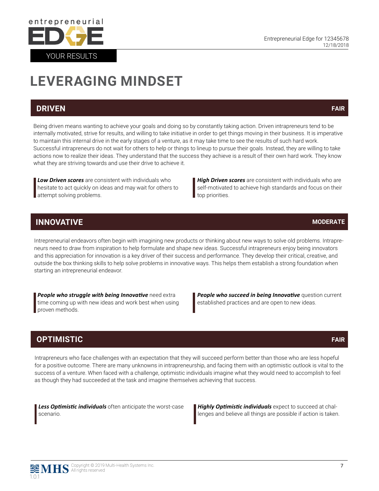

# **LEVERAGING MINDSET**

#### **DRIVEN**

YOUR RESULTS

entrepreneurial

Being driven means wanting to achieve your goals and doing so by constantly taking action. Driven intrapreneurs tend to be internally motivated, strive for results, and willing to take initiative in order to get things moving in their business. It is imperative to maintain this internal drive in the early stages of a venture, as it may take time to see the results of such hard work. Successful intrapreneurs do not wait for others to help or things to lineup to pursue their goals. Instead, they are willing to take actions now to realize their ideas. They understand that the success they achieve is a result of their own hard work. They know what they are striving towards and use their drive to achieve it.

*Low Driven scores* are consistent with individuals who hesitate to act quickly on ideas and may wait for others to attempt solving problems.

*High Driven scores* are consistent with individuals who are self-motivated to achieve high standards and focus on their top priorities.

### **INNOVATIVE**

Intrepreneurial endeavors often begin with imagining new products or thinking about new ways to solve old problems. Intrapreneurs need to draw from inspiration to help formulate and shape new ideas. Successful intrapreneurs enjoy being innovators and this appreciation for innovation is a key driver of their success and performance. They develop their critical, creative, and outside the box thinking skills to help solve problems in innovative ways. This helps them establish a strong foundation when starting an intrepreneurial endeavor.

**People who struggle with being Innovative** need extra time coming up with new ideas and work best when using proven methods.

**People who succeed in being Innovative** question current established practices and are open to new ideas.

### **OPTIMISTIC**

Intrapreneurs who face challenges with an expectation that they will succeed perform better than those who are less hopeful for a positive outcome. There are many unknowns in intrapreneurship, and facing them with an optimistic outlook is vital to the success of a venture. When faced with a challenge, optimistic individuals imagine what they would need to accomplish to feel as though they had succeeded at the task and imagine themselves achieving that success.

*Less Optimistic individuals* often anticipate the worst-case scenario.

*Highly Optimistic individuals* expect to succeed at challenges and believe all things are possible if action is taken.



1.0.1



**MODERATE**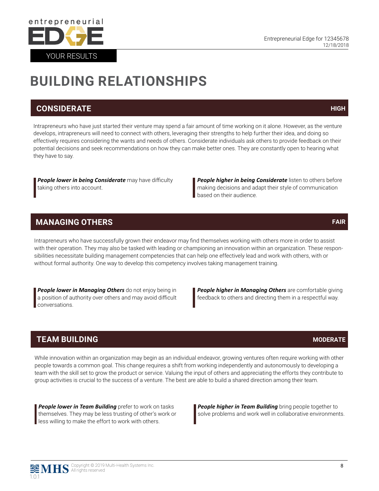

## **BUILDING RELATIONSHIPS**

#### **CONSIDERATE**

Intrapreneurs who have just started their venture may spend a fair amount of time working on it alone. However, as the venture develops, intrapreneurs will need to connect with others, leveraging their strengths to help further their idea, and doing so effectively requires considering the wants and needs of others. Considerate individuals ask others to provide feedback on their potential decisions and seek recommendations on how they can make better ones. They are constantly open to hearing what they have to say.

*People lower in being Considerate* may have difficulty taking others into account.

**People higher in being Considerate** listen to others before making decisions and adapt their style of communication **based on their audience.** 

### **MANAGING OTHERS**

Intrapreneurs who have successfully grown their endeavor may find themselves working with others more in order to assist with their operation. They may also be tasked with leading or championing an innovation within an organization. These responsibilities necessitate building management competencies that can help one effectively lead and work with others, with or without formal authority. One way to develop this competency involves taking management training.

*People lower in Managing Others* do not enjoy being in a position of authority over others and may avoid difficult conversations.

**People higher in Managing Others** are comfortable giving feedback to others and directing them in a respectful way.

### **TEAM BUILDING**

While innovation within an organization may begin as an individual endeavor, growing ventures often require working with other people towards a common goal. This change requires a shift from working independently and autonomously to developing a team with the skill set to grow the product or service. Valuing the input of others and appreciating the efforts they contribute to group activities is crucial to the success of a venture. The best are able to build a shared direction among their team.

**People lower in Team Building** prefer to work on tasks themselves. They may be less trusting of other's work or less willing to make the effort to work with others.

*People higher in Team Building* bring people together to solve problems and work well in collaborative environments.

Copyright © 2019 Multi-Health Systems Inc. All rights reserved

1.0.1



#### **HIGH**

#### **FAIR**

#### **MODERATE**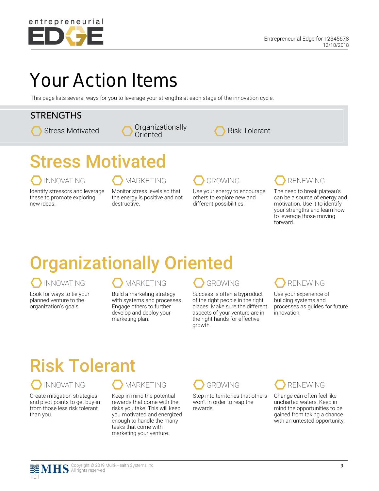

## Your Action Items

This page lists several ways for you to leverage your strengths at each stage of the innovation cycle.

### **STRENGTHS**





# Stress Motivated

INNOVATING MARKETING GROWING RENEWING

Identify stressors and leverage these to promote exploring new ideas.

Monitor stress levels so that the energy is positive and not destructive.



Use your energy to encourage others to explore new and different possibilities.



The need to break plateau's can be a source of energy and motivation. Use it to identify your strengths and learn how to leverage those moving forward.

## Organizationally Oriented

Look for ways to tie your planned venture to the organization's goals

#### INNOVATING A MARKETING CROWING RENEWING

Build a marketing strategy with systems and processes. Engage others to further develop and deploy your marketing plan.

Success is often a byproduct of the right people in the right places. Make sure the different aspects of your venture are in the right hands for effective growth.



Use your experience of building systems and processes as guides for future innovation.

# Risk Tolerant

Create mitigation strategies and pivot points to get buy-in from those less risk tolerant than you.

Keep in mind the potential rewards that come with the risks you take. This will keep you motivated and energized enough to handle the many tasks that come with marketing your venture.



Step into territories that others won't in order to reap the rewards.



Change can often feel like uncharted waters. Keep in mind the opportunities to be gained from taking a chance with an untested opportunity.

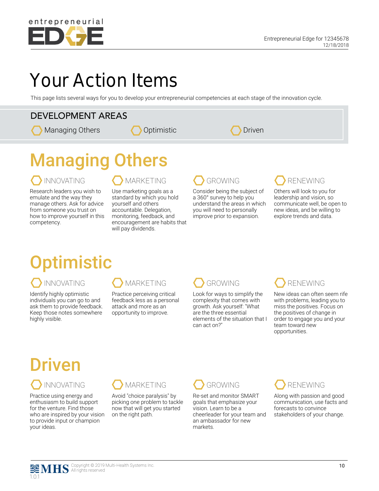

## Your Action Items

This page lists several ways for you to develop your entrepreneurial competencies at each stage of the innovation cycle.

### DEVELOPMENT AREAS

Managing Others

| Driven |
|--------|
|--------|

# Managing Others

Research leaders you wish to emulate and the way they manage others. Ask for advice from someone you trust on how to improve yourself in this competency.

### INNOVATING COMARKETING GROWING CORDE

Use marketing goals as a standard by which you hold yourself and others accountable. Delegation, monitoring, feedback, and encouragement are habits that will pay dividends.

## **Optimistic**

Identify highly optimistic individuals you can go to and ask them to provide feedback. Keep those notes somewhere highly visible.

Practice perceiving critical feedback less as a personal attack and more as an opportunity to improve.



Look for ways to simplify the complexity that comes with growth. Ask yourself: "What are the three essential elements of the situation that I can act on?"

Consider being the subject of a 360° survey to help you understand the areas in which you will need to personally improve prior to expansion.



Others will look to you for leadership and vision, so communicate well, be open to new ideas, and be willing to explore trends and data.

New ideas can often seem rife with problems, leading you to miss the positives. Focus on the positives of change in order to engage you and your team toward new opportunities.

# Driven

Practice using energy and enthusiasm to build support for the venture. Find those who are inspired by your vision to provide input or champion your ideas.



Avoid "choice paralysis" by picking one problem to tackle now that will get you started on the right path.

Re-set and monitor SMART goals that emphasize your vision. Learn to be a cheerleader for your team and an ambassador for new markets.



Along with passion and good communication, use facts and forecasts to convince stakeholders of your change.